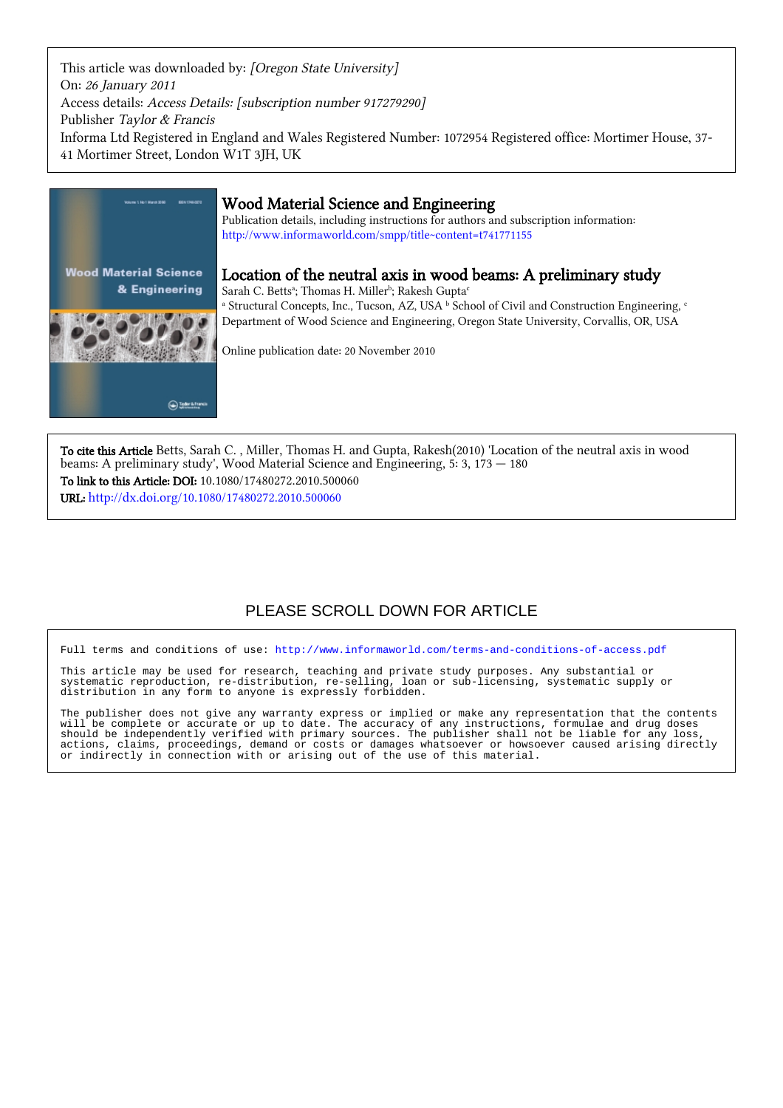This article was downloaded by: [Oregon State University] On: 26 January 2011 Access details: Access Details: [subscription number 917279290] Publisher Taylor & Francis Informa Ltd Registered in England and Wales Registered Number: 1072954 Registered office: Mortimer House, 37- 41 Mortimer Street, London W1T 3JH, UK



To cite this Article Betts, Sarah C. , Miller, Thomas H. and Gupta, Rakesh(2010) 'Location of the neutral axis in wood beams: A preliminary study', Wood Material Science and Engineering, 5: 3, 173 — 180 To link to this Article: DOI: 10.1080/17480272.2010.500060 URL: <http://dx.doi.org/10.1080/17480272.2010.500060>

# PLEASE SCROLL DOWN FOR ARTICLE

Full terms and conditions of use:<http://www.informaworld.com/terms-and-conditions-of-access.pdf>

This article may be used for research, teaching and private study purposes. Any substantial or systematic reproduction, re-distribution, re-selling, loan or sub-licensing, systematic supply or distribution in any form to anyone is expressly forbidden.

The publisher does not give any warranty express or implied or make any representation that the contents will be complete or accurate or up to date. The accuracy of any instructions, formulae and drug doses should be independently verified with primary sources. The publisher shall not be liable for any loss, actions, claims, proceedings, demand or costs or damages whatsoever or howsoever caused arising directly or indirectly in connection with or arising out of the use of this material.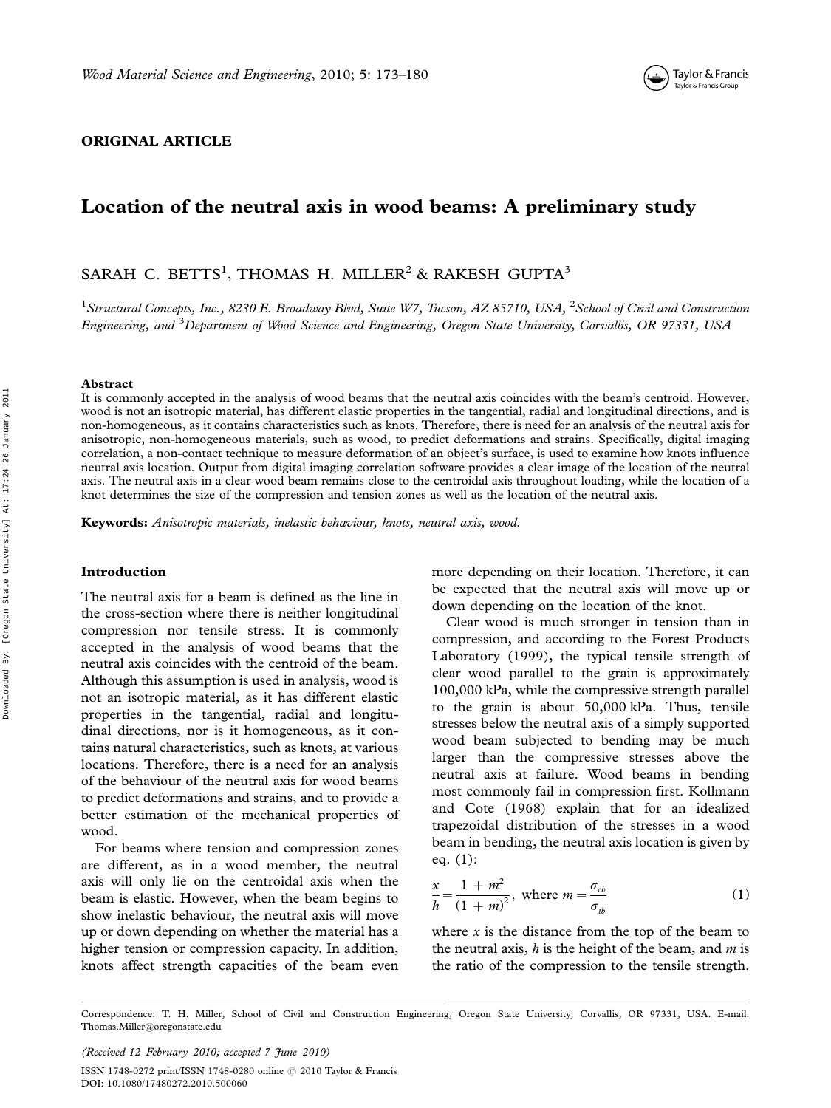

## ORIGINAL ARTICLE

# Location of the neutral axis in wood beams: A preliminary study

# SARAH C. BETTS<sup>1</sup>, THOMAS H. MILLER<sup>2</sup> & RAKESH GUPTA<sup>3</sup>

<sup>1</sup>Structural Concepts, Inc., 8230 E. Broadway Blvd, Suite W7, Tucson, AZ 85710, USA, <sup>2</sup>School of Civil and Construction Engineering, and <sup>3</sup>Department of Wood Science and Engineering, Oregon State University, Corvallis, OR 97331, USA

#### Abstract

It is commonly accepted in the analysis of wood beams that the neutral axis coincides with the beam's centroid. However, wood is not an isotropic material, has different elastic properties in the tangential, radial and longitudinal directions, and is non-homogeneous, as it contains characteristics such as knots. Therefore, there is need for an analysis of the neutral axis for anisotropic, non-homogeneous materials, such as wood, to predict deformations and strains. Specifically, digital imaging correlation, a non-contact technique to measure deformation of an object's surface, is used to examine how knots influence neutral axis location. Output from digital imaging correlation software provides a clear image of the location of the neutral axis. The neutral axis in a clear wood beam remains close to the centroidal axis throughout loading, while the location of a knot determines the size of the compression and tension zones as well as the location of the neutral axis.

Keywords: Anisotropic materials, inelastic behaviour, knots, neutral axis, wood.

#### Introduction

The neutral axis for a beam is defined as the line in the cross-section where there is neither longitudinal compression nor tensile stress. It is commonly accepted in the analysis of wood beams that the neutral axis coincides with the centroid of the beam. Although this assumption is used in analysis, wood is not an isotropic material, as it has different elastic properties in the tangential, radial and longitudinal directions, nor is it homogeneous, as it contains natural characteristics, such as knots, at various locations. Therefore, there is a need for an analysis of the behaviour of the neutral axis for wood beams to predict deformations and strains, and to provide a better estimation of the mechanical properties of wood.

For beams where tension and compression zones are different, as in a wood member, the neutral axis will only lie on the centroidal axis when the beam is elastic. However, when the beam begins to show inelastic behaviour, the neutral axis will move up or down depending on whether the material has a higher tension or compression capacity. In addition, knots affect strength capacities of the beam even

more depending on their location. Therefore, it can be expected that the neutral axis will move up or down depending on the location of the knot.

Clear wood is much stronger in tension than in compression, and according to the Forest Products Laboratory (1999), the typical tensile strength of clear wood parallel to the grain is approximately 100,000 kPa, while the compressive strength parallel to the grain is about 50,000 kPa. Thus, tensile stresses below the neutral axis of a simply supported wood beam subjected to bending may be much larger than the compressive stresses above the neutral axis at failure. Wood beams in bending most commonly fail in compression first. Kollmann and Cote (1968) explain that for an idealized trapezoidal distribution of the stresses in a wood beam in bending, the neutral axis location is given by eq. (1):

$$
\frac{x}{h} = \frac{1 + m^2}{(1 + m)^2}, \text{ where } m = \frac{\sigma_{cb}}{\sigma_{tb}} \tag{1}
$$

where  $x$  is the distance from the top of the beam to the neutral axis,  $h$  is the height of the beam, and  $m$  is the ratio of the compression to the tensile strength.

2011 Downloaded By: [Oregon State University] At: 17:24 26 January 2011January  $26\,$ By: [Oregon State University] At: 17:24 Downloaded

ISSN 1748-0272 print/ISSN 1748-0280 online @ 2010 Taylor & Francis DOI: 10.1080/17480272.2010.500060

Correspondence: T. H. Miller, School of Civil and Construction Engineering, Oregon State University, Corvallis, OR 97331, USA. E-mail: Thomas.Miller@oregonstate.edu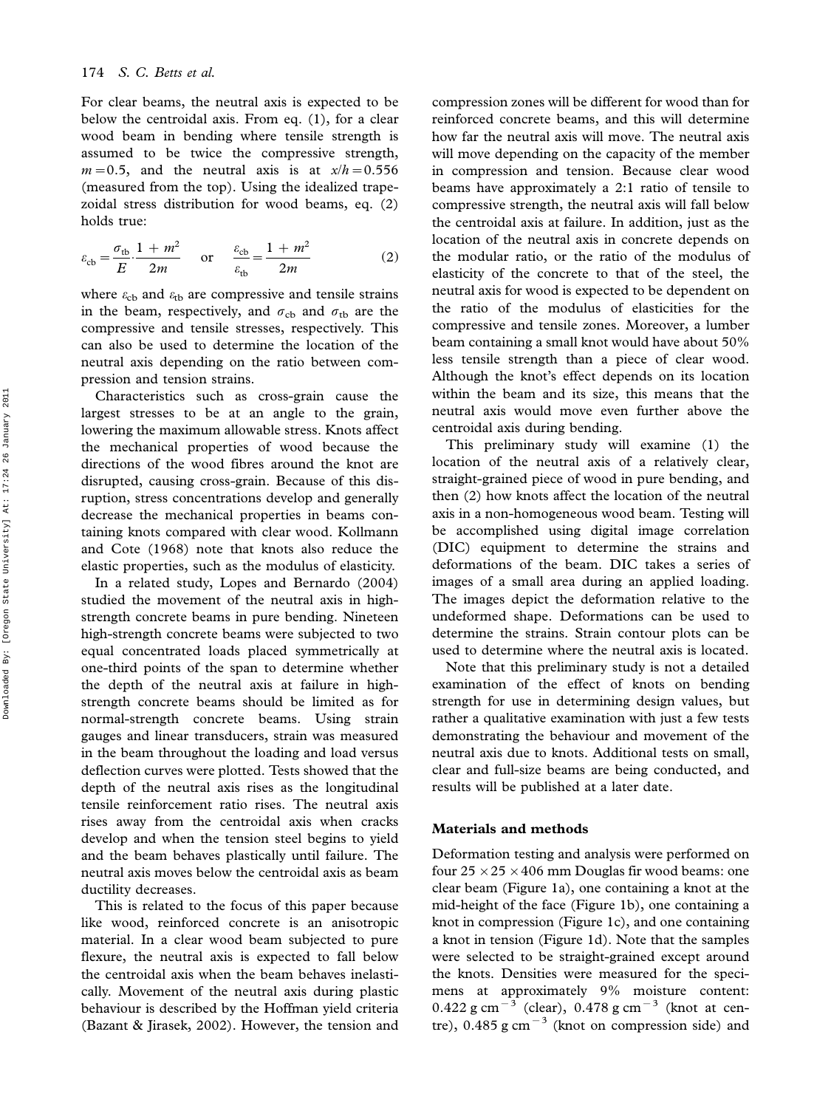For clear beams, the neutral axis is expected to be below the centroidal axis. From eq. (1), for a clear wood beam in bending where tensile strength is assumed to be twice the compressive strength,  $m=0.5$ , and the neutral axis is at  $x/h=0.556$ (measured from the top). Using the idealized trapezoidal stress distribution for wood beams, eq. (2) holds true:

$$
\varepsilon_{\rm cb} = \frac{\sigma_{\rm tb}}{E} \cdot \frac{1 + m^2}{2m} \quad \text{or} \quad \frac{\varepsilon_{\rm cb}}{\varepsilon_{\rm tb}} = \frac{1 + m^2}{2m} \tag{2}
$$

where  $\varepsilon_{cb}$  and  $\varepsilon_{tb}$  are compressive and tensile strains in the beam, respectively, and  $\sigma_{cb}$  and  $\sigma_{tb}$  are the compressive and tensile stresses, respectively. This can also be used to determine the location of the neutral axis depending on the ratio between compression and tension strains.

Characteristics such as cross-grain cause the largest stresses to be at an angle to the grain, lowering the maximum allowable stress. Knots affect the mechanical properties of wood because the directions of the wood fibres around the knot are disrupted, causing cross-grain. Because of this disruption, stress concentrations develop and generally decrease the mechanical properties in beams containing knots compared with clear wood. Kollmann and Cote (1968) note that knots also reduce the elastic properties, such as the modulus of elasticity.

In a related study, Lopes and Bernardo (2004) studied the movement of the neutral axis in highstrength concrete beams in pure bending. Nineteen high-strength concrete beams were subjected to two equal concentrated loads placed symmetrically at one-third points of the span to determine whether the depth of the neutral axis at failure in highstrength concrete beams should be limited as for normal-strength concrete beams. Using strain gauges and linear transducers, strain was measured in the beam throughout the loading and load versus deflection curves were plotted. Tests showed that the depth of the neutral axis rises as the longitudinal tensile reinforcement ratio rises. The neutral axis rises away from the centroidal axis when cracks develop and when the tension steel begins to yield and the beam behaves plastically until failure. The neutral axis moves below the centroidal axis as beam ductility decreases.

This is related to the focus of this paper because like wood, reinforced concrete is an anisotropic material. In a clear wood beam subjected to pure flexure, the neutral axis is expected to fall below the centroidal axis when the beam behaves inelastically. Movement of the neutral axis during plastic behaviour is described by the Hoffman yield criteria (Bazant & Jirasek, 2002). However, the tension and compression zones will be different for wood than for reinforced concrete beams, and this will determine how far the neutral axis will move. The neutral axis will move depending on the capacity of the member in compression and tension. Because clear wood beams have approximately a 2:1 ratio of tensile to compressive strength, the neutral axis will fall below the centroidal axis at failure. In addition, just as the location of the neutral axis in concrete depends on the modular ratio, or the ratio of the modulus of elasticity of the concrete to that of the steel, the neutral axis for wood is expected to be dependent on the ratio of the modulus of elasticities for the compressive and tensile zones. Moreover, a lumber beam containing a small knot would have about 50% less tensile strength than a piece of clear wood. Although the knot's effect depends on its location within the beam and its size, this means that the neutral axis would move even further above the centroidal axis during bending.

This preliminary study will examine (1) the location of the neutral axis of a relatively clear, straight-grained piece of wood in pure bending, and then (2) how knots affect the location of the neutral axis in a non-homogeneous wood beam. Testing will be accomplished using digital image correlation (DIC) equipment to determine the strains and deformations of the beam. DIC takes a series of images of a small area during an applied loading. The images depict the deformation relative to the undeformed shape. Deformations can be used to determine the strains. Strain contour plots can be used to determine where the neutral axis is located.

Note that this preliminary study is not a detailed examination of the effect of knots on bending strength for use in determining design values, but rather a qualitative examination with just a few tests demonstrating the behaviour and movement of the neutral axis due to knots. Additional tests on small, clear and full-size beams are being conducted, and results will be published at a later date.

### Materials and methods

Deformation testing and analysis were performed on four  $25 \times 25 \times 406$  mm Douglas fir wood beams: one clear beam (Figure 1a), one containing a knot at the mid-height of the face (Figure 1b), one containing a knot in compression (Figure 1c), and one containing a knot in tension (Figure 1d). Note that the samples were selected to be straight-grained except around the knots. Densities were measured for the specimens at approximately 9% moisture content:  $0.422$  g cm<sup> $-3$ </sup> (clear),  $0.478$  g cm<sup> $-3$ </sup> (knot at centre),  $0.485$  g cm<sup> $-3$ </sup> (knot on compression side) and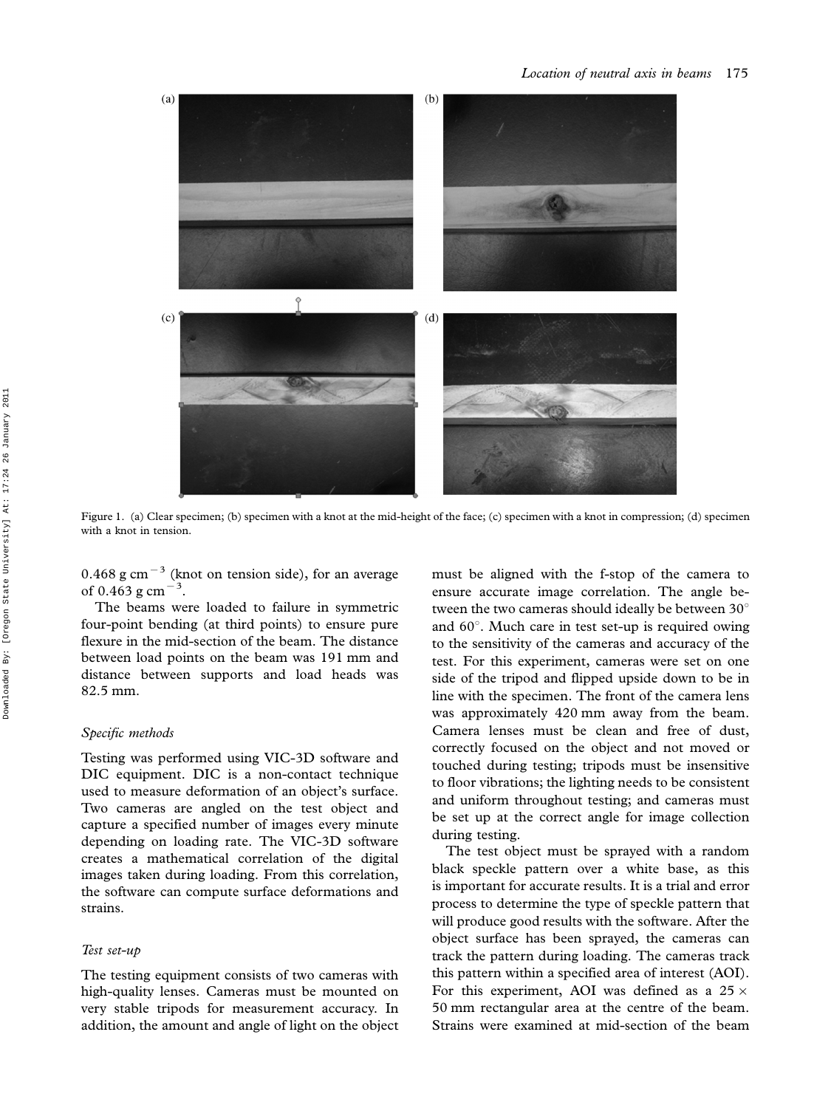

Figure 1. (a) Clear specimen; (b) specimen with a knot at the mid-height of the face; (c) specimen with a knot in compression; (d) specimen with a knot in tension.

 $0.468$  g cm<sup> $-3$ </sup> (knot on tension side), for an average of 0.463 g cm<sup> $-3$ </sup>.

The beams were loaded to failure in symmetric four-point bending (at third points) to ensure pure flexure in the mid-section of the beam. The distance between load points on the beam was 191 mm and distance between supports and load heads was 82.5 mm.

#### Specific methods

Testing was performed using VIC-3D software and DIC equipment. DIC is a non-contact technique used to measure deformation of an object's surface. Two cameras are angled on the test object and capture a specified number of images every minute depending on loading rate. The VIC-3D software creates a mathematical correlation of the digital images taken during loading. From this correlation, the software can compute surface deformations and strains.

## Test set-up

The testing equipment consists of two cameras with high-quality lenses. Cameras must be mounted on very stable tripods for measurement accuracy. In addition, the amount and angle of light on the object must be aligned with the f-stop of the camera to ensure accurate image correlation. The angle between the two cameras should ideally be between  $30^{\circ}$ and  $60^\circ$ . Much care in test set-up is required owing to the sensitivity of the cameras and accuracy of the test. For this experiment, cameras were set on one side of the tripod and flipped upside down to be in line with the specimen. The front of the camera lens was approximately 420 mm away from the beam. Camera lenses must be clean and free of dust, correctly focused on the object and not moved or touched during testing; tripods must be insensitive to floor vibrations; the lighting needs to be consistent and uniform throughout testing; and cameras must be set up at the correct angle for image collection during testing.

The test object must be sprayed with a random black speckle pattern over a white base, as this is important for accurate results. It is a trial and error process to determine the type of speckle pattern that will produce good results with the software. After the object surface has been sprayed, the cameras can track the pattern during loading. The cameras track this pattern within a specified area of interest (AOI). For this experiment, AOI was defined as a  $25 \times$ 50 mm rectangular area at the centre of the beam. Strains were examined at mid-section of the beam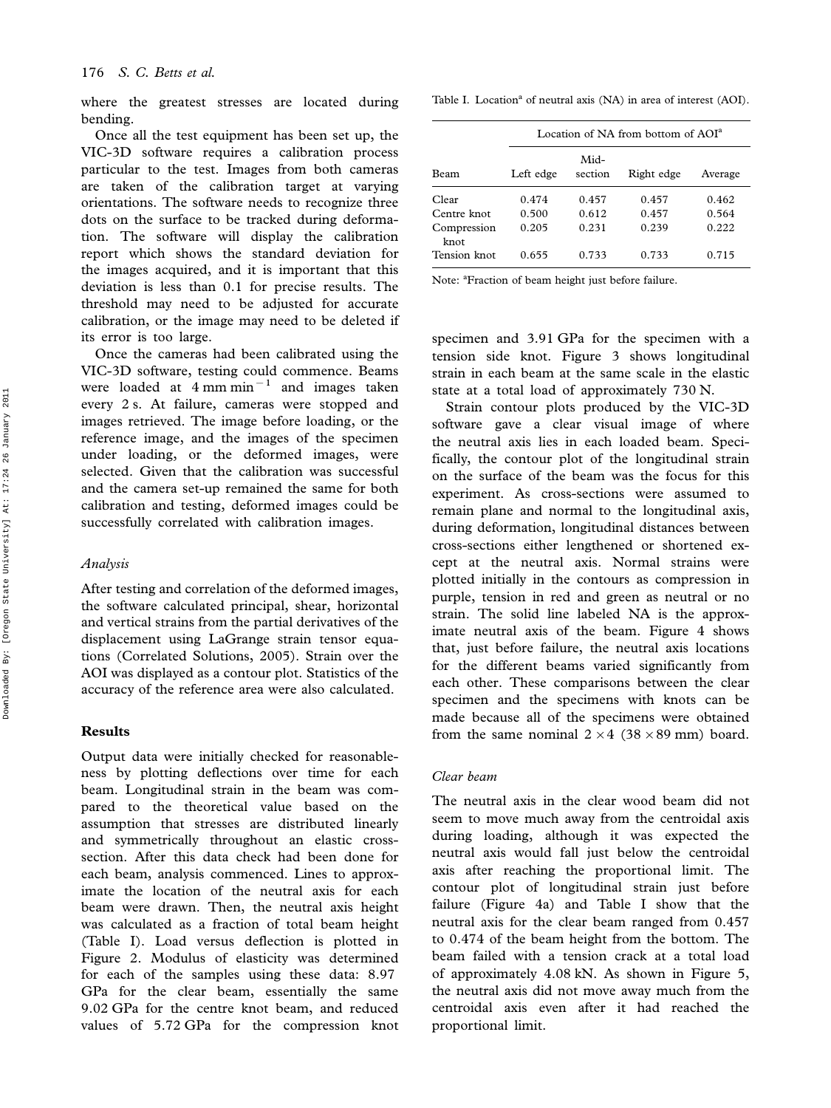where the greatest stresses are located during bending.

Once all the test equipment has been set up, the VIC-3D software requires a calibration process particular to the test. Images from both cameras are taken of the calibration target at varying orientations. The software needs to recognize three dots on the surface to be tracked during deformation. The software will display the calibration report which shows the standard deviation for the images acquired, and it is important that this deviation is less than 0.1 for precise results. The threshold may need to be adjusted for accurate calibration, or the image may need to be deleted if its error is too large.

Once the cameras had been calibrated using the VIC-3D software, testing could commence. Beams were loaded at  $4 \text{ mm min}^{-1}$  and images taken every 2 s. At failure, cameras were stopped and images retrieved. The image before loading, or the reference image, and the images of the specimen under loading, or the deformed images, were selected. Given that the calibration was successful and the camera set-up remained the same for both calibration and testing, deformed images could be successfully correlated with calibration images.

### Analysis

After testing and correlation of the deformed images, the software calculated principal, shear, horizontal and vertical strains from the partial derivatives of the displacement using LaGrange strain tensor equations (Correlated Solutions, 2005). Strain over the AOI was displayed as a contour plot. Statistics of the accuracy of the reference area were also calculated.

# Results

Output data were initially checked for reasonableness by plotting deflections over time for each beam. Longitudinal strain in the beam was compared to the theoretical value based on the assumption that stresses are distributed linearly and symmetrically throughout an elastic crosssection. After this data check had been done for each beam, analysis commenced. Lines to approximate the location of the neutral axis for each beam were drawn. Then, the neutral axis height was calculated as a fraction of total beam height (Table I). Load versus deflection is plotted in Figure 2. Modulus of elasticity was determined for each of the samples using these data: 8.97 GPa for the clear beam, essentially the same 9.02 GPa for the centre knot beam, and reduced values of 5.72 GPa for the compression knot

|  |  |  |  |  |  | Table I. Location <sup>a</sup> of neutral axis (NA) in area of interest (AOI). |  |
|--|--|--|--|--|--|--------------------------------------------------------------------------------|--|
|--|--|--|--|--|--|--------------------------------------------------------------------------------|--|

|                     | Location of NA from bottom of AOI <sup>a</sup> |                 |            |         |  |  |  |
|---------------------|------------------------------------------------|-----------------|------------|---------|--|--|--|
| Beam                | Left edge                                      | Mid-<br>section | Right edge | Average |  |  |  |
| Clear               | 0.474                                          | 0.457           | 0.457      | 0.462   |  |  |  |
| Centre knot         | 0.500                                          | 0.612           | 0.457      | 0.564   |  |  |  |
| Compression<br>knot | 0.205                                          | 0.231           | 0.239      | 0.222   |  |  |  |
| Tension knot        | 0.655                                          | 0.733           | 0.733      | 0.715   |  |  |  |

Note: <sup>a</sup>Fraction of beam height just before failure.

specimen and 3.91 GPa for the specimen with a tension side knot. Figure 3 shows longitudinal strain in each beam at the same scale in the elastic state at a total load of approximately 730 N.

Strain contour plots produced by the VIC-3D software gave a clear visual image of where the neutral axis lies in each loaded beam. Specifically, the contour plot of the longitudinal strain on the surface of the beam was the focus for this experiment. As cross-sections were assumed to remain plane and normal to the longitudinal axis, during deformation, longitudinal distances between cross-sections either lengthened or shortened except at the neutral axis. Normal strains were plotted initially in the contours as compression in purple, tension in red and green as neutral or no strain. The solid line labeled NA is the approximate neutral axis of the beam. Figure 4 shows that, just before failure, the neutral axis locations for the different beams varied significantly from each other. These comparisons between the clear specimen and the specimens with knots can be made because all of the specimens were obtained from the same nominal  $2\times4$  (38  $\times89$  mm) board.

#### Clear beam

The neutral axis in the clear wood beam did not seem to move much away from the centroidal axis during loading, although it was expected the neutral axis would fall just below the centroidal axis after reaching the proportional limit. The contour plot of longitudinal strain just before failure (Figure 4a) and Table I show that the neutral axis for the clear beam ranged from 0.457 to 0.474 of the beam height from the bottom. The beam failed with a tension crack at a total load of approximately 4.08 kN. As shown in Figure 5, the neutral axis did not move away much from the centroidal axis even after it had reached the proportional limit.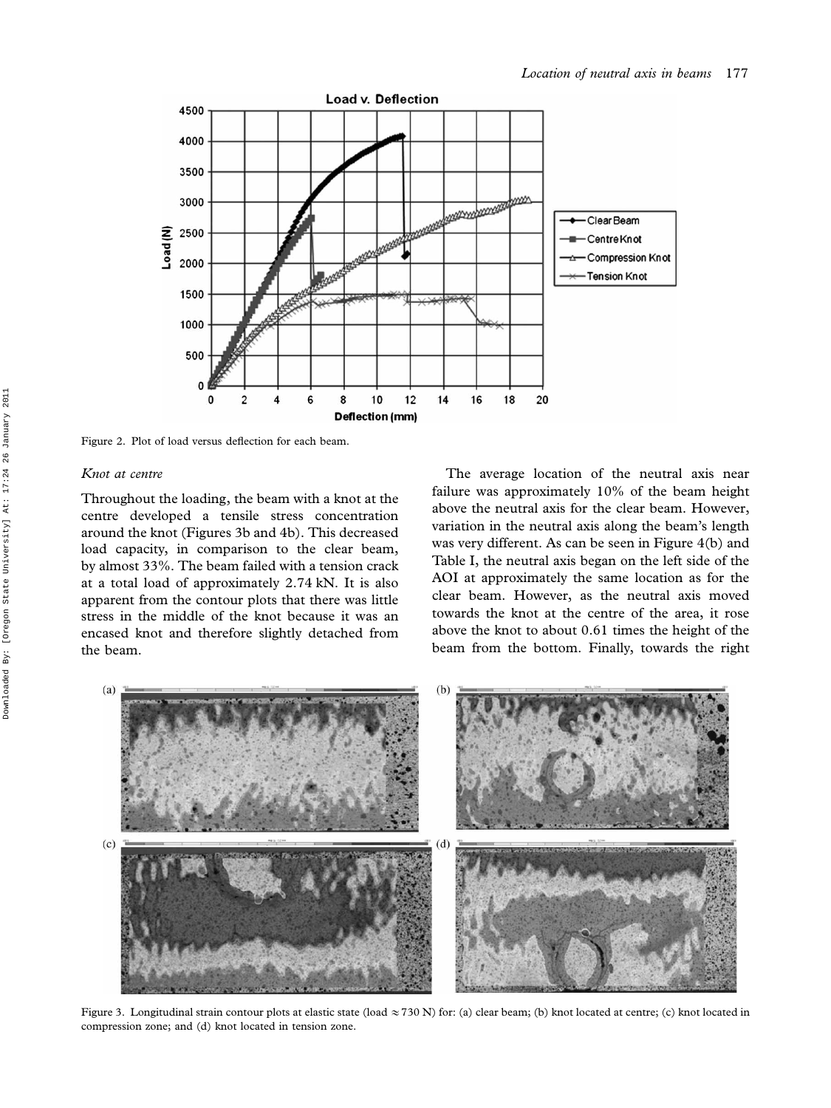

Figure 2. Plot of load versus deflection for each beam.

### Knot at centre

Throughout the loading, the beam with a knot at the centre developed a tensile stress concentration around the knot (Figures 3b and 4b). This decreased load capacity, in comparison to the clear beam, by almost 33%. The beam failed with a tension crack at a total load of approximately 2.74 kN. It is also apparent from the contour plots that there was little stress in the middle of the knot because it was an encased knot and therefore slightly detached from the beam.

The average location of the neutral axis near failure was approximately 10% of the beam height above the neutral axis for the clear beam. However, variation in the neutral axis along the beam's length was very different. As can be seen in Figure 4(b) and Table I, the neutral axis began on the left side of the AOI at approximately the same location as for the clear beam. However, as the neutral axis moved towards the knot at the centre of the area, it rose above the knot to about 0.61 times the height of the beam from the bottom. Finally, towards the right



Figure 3. Longitudinal strain contour plots at elastic state (load  $\approx$  730 N) for: (a) clear beam; (b) knot located at centre; (c) knot located in compression zone; and (d) knot located in tension zone.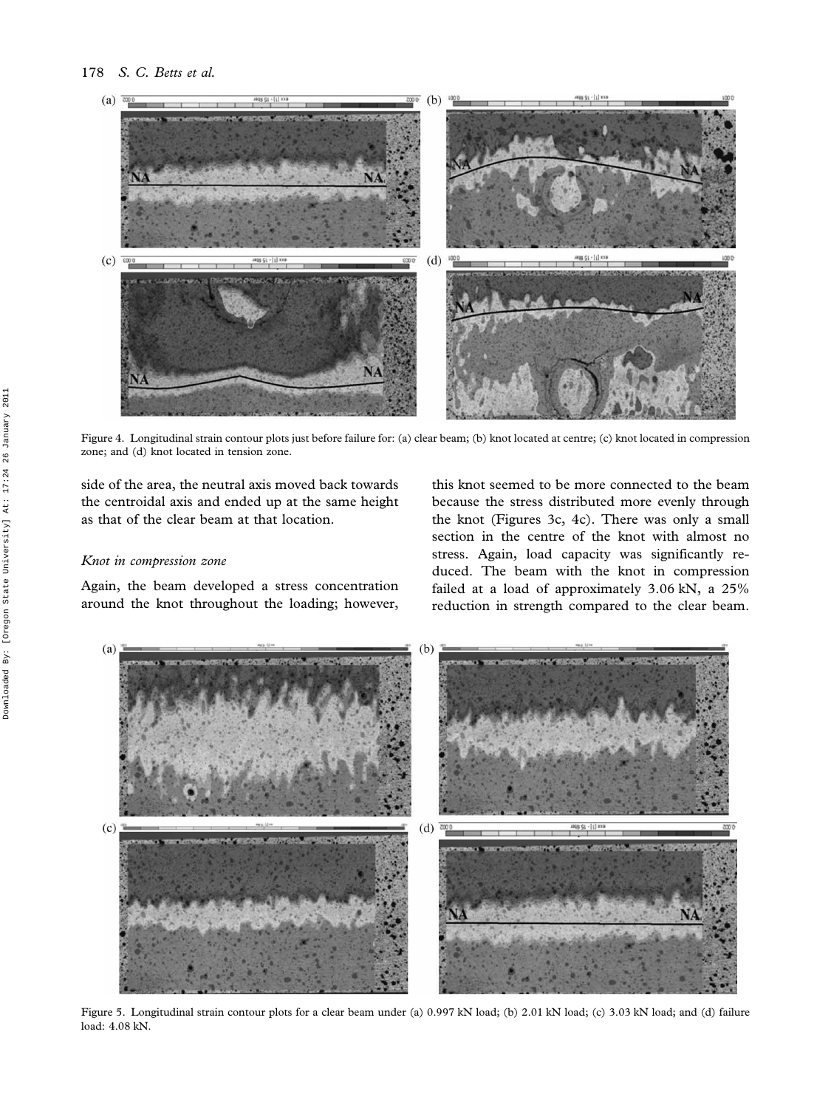

Figure 4. Longitudinal strain contour plots just before failure for: (a) clear beam; (b) knot located at centre; (c) knot located in compression zone; and (d) knot located in tension zone.

side of the area, the neutral axis moved back towards the centroidal axis and ended up at the same height as that of the clear beam at that location.

### Knot in compression zone

Again, the beam developed a stress concentration around the knot throughout the loading; however,

this knot seemed to be more connected to the beam because the stress distributed more evenly through the knot (Figures 3c, 4c). There was only a small section in the centre of the knot with almost no stress. Again, load capacity was significantly reduced. The beam with the knot in compression failed at a load of approximately 3.06 kN, a 25% reduction in strength compared to the clear beam.



Figure 5. Longitudinal strain contour plots for a clear beam under (a) 0.997 kN load; (b) 2.01 kN load; (c) 3.03 kN load; and (d) failure load: 4.08 kN.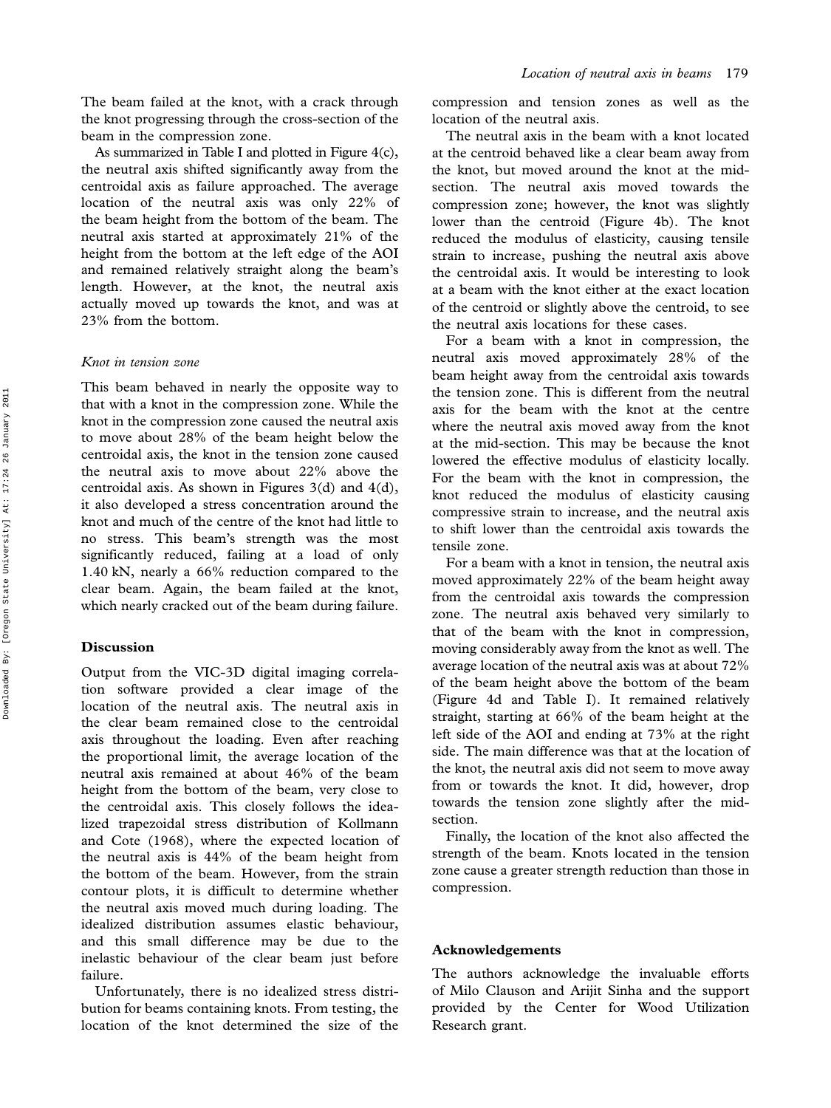The beam failed at the knot, with a crack through the knot progressing through the cross-section of the beam in the compression zone.

As summarized in Table I and plotted in Figure 4(c), the neutral axis shifted significantly away from the centroidal axis as failure approached. The average location of the neutral axis was only 22% of the beam height from the bottom of the beam. The neutral axis started at approximately 21% of the height from the bottom at the left edge of the AOI and remained relatively straight along the beam's length. However, at the knot, the neutral axis actually moved up towards the knot, and was at 23% from the bottom.

## Knot in tension zone

This beam behaved in nearly the opposite way to that with a knot in the compression zone. While the knot in the compression zone caused the neutral axis to move about 28% of the beam height below the centroidal axis, the knot in the tension zone caused the neutral axis to move about 22% above the centroidal axis. As shown in Figures 3(d) and 4(d), it also developed a stress concentration around the knot and much of the centre of the knot had little to no stress. This beam's strength was the most significantly reduced, failing at a load of only 1.40 kN, nearly a 66% reduction compared to the clear beam. Again, the beam failed at the knot, which nearly cracked out of the beam during failure.

#### Discussion

Output from the VIC-3D digital imaging correlation software provided a clear image of the location of the neutral axis. The neutral axis in the clear beam remained close to the centroidal axis throughout the loading. Even after reaching the proportional limit, the average location of the neutral axis remained at about 46% of the beam height from the bottom of the beam, very close to the centroidal axis. This closely follows the idealized trapezoidal stress distribution of Kollmann and Cote (1968), where the expected location of the neutral axis is 44% of the beam height from the bottom of the beam. However, from the strain contour plots, it is difficult to determine whether the neutral axis moved much during loading. The idealized distribution assumes elastic behaviour, and this small difference may be due to the inelastic behaviour of the clear beam just before failure.

Unfortunately, there is no idealized stress distribution for beams containing knots. From testing, the location of the knot determined the size of the compression and tension zones as well as the location of the neutral axis.

The neutral axis in the beam with a knot located at the centroid behaved like a clear beam away from the knot, but moved around the knot at the midsection. The neutral axis moved towards the compression zone; however, the knot was slightly lower than the centroid (Figure 4b). The knot reduced the modulus of elasticity, causing tensile strain to increase, pushing the neutral axis above the centroidal axis. It would be interesting to look at a beam with the knot either at the exact location of the centroid or slightly above the centroid, to see the neutral axis locations for these cases.

For a beam with a knot in compression, the neutral axis moved approximately 28% of the beam height away from the centroidal axis towards the tension zone. This is different from the neutral axis for the beam with the knot at the centre where the neutral axis moved away from the knot at the mid-section. This may be because the knot lowered the effective modulus of elasticity locally. For the beam with the knot in compression, the knot reduced the modulus of elasticity causing compressive strain to increase, and the neutral axis to shift lower than the centroidal axis towards the tensile zone.

For a beam with a knot in tension, the neutral axis moved approximately 22% of the beam height away from the centroidal axis towards the compression zone. The neutral axis behaved very similarly to that of the beam with the knot in compression, moving considerably away from the knot as well. The average location of the neutral axis was at about 72% of the beam height above the bottom of the beam (Figure 4d and Table I). It remained relatively straight, starting at 66% of the beam height at the left side of the AOI and ending at 73% at the right side. The main difference was that at the location of the knot, the neutral axis did not seem to move away from or towards the knot. It did, however, drop towards the tension zone slightly after the midsection.

Finally, the location of the knot also affected the strength of the beam. Knots located in the tension zone cause a greater strength reduction than those in compression.

#### Acknowledgements

The authors acknowledge the invaluable efforts of Milo Clauson and Arijit Sinha and the support provided by the Center for Wood Utilization Research grant.